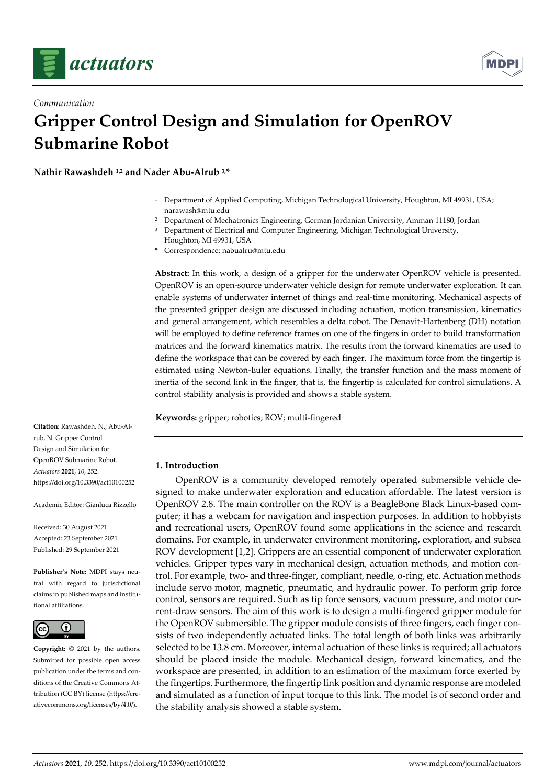

*Communication*



# **Gripper Control Design and Simulation for OpenROV Submarine Robot**

**Nathir Rawashdeh 1,2 and Nader Abu-Alrub 3,\***

- <sup>1</sup> Department of Applied Computing, Michigan Technological University, Houghton, MI 49931, USA; narawash@mtu.edu
- <sup>2</sup> Department of Mechatronics Engineering, German Jordanian University, Amman 11180, Jordan
- <sup>3</sup> Department of Electrical and Computer Engineering, Michigan Technological University, Houghton, MI 49931, USA
- **\*** Correspondence: nabualru@mtu.edu

**Abstract:** In this work, a design of a gripper for the underwater OpenROV vehicle is presented. OpenROV is an open-source underwater vehicle design for remote underwater exploration. It can enable systems of underwater internet of things and real-time monitoring. Mechanical aspects of the presented gripper design are discussed including actuation, motion transmission, kinematics and general arrangement, which resembles a delta robot. The Denavit-Hartenberg (DH) notation will be employed to define reference frames on one of the fingers in order to build transformation matrices and the forward kinematics matrix. The results from the forward kinematics are used to define the workspace that can be covered by each finger. The maximum force from the fingertip is estimated using Newton-Euler equations. Finally, the transfer function and the mass moment of inertia of the second link in the finger, that is, the fingertip is calculated for control simulations. A control stability analysis is provided and shows a stable system.

**Keywords:** gripper; robotics; ROV; multi-fingered

# **1. Introduction**

OpenROV is a community developed remotely operated submersible vehicle designed to make underwater exploration and education affordable. The latest version is OpenROV 2.8. The main controller on the ROV is a BeagleBone Black Linux-based computer; it has a webcam for navigation and inspection purposes. In addition to hobbyists and recreational users, OpenROV found some applications in the science and research domains. For example, in underwater environment monitoring, exploration, and subsea ROV development [1,2]. Grippers are an essential component of underwater exploration vehicles. Gripper types vary in mechanical design, actuation methods, and motion control. For example, two- and three-finger, compliant, needle, o-ring, etc. Actuation methods include servo motor, magnetic, pneumatic, and hydraulic power. To perform grip force control, sensors are required. Such as tip force sensors, vacuum pressure, and motor current-draw sensors. The aim of this work is to design a multi-fingered gripper module for the OpenROV submersible. The gripper module consists of three fingers, each finger consists of two independently actuated links. The total length of both links was arbitrarily selected to be 13.8 cm. Moreover, internal actuation of these links is required; all actuators should be placed inside the module. Mechanical design, forward kinematics, and the workspace are presented, in addition to an estimation of the maximum force exerted by the fingertips. Furthermore, the fingertip link position and dynamic response are modeled and simulated as a function of input torque to this link. The model is of second order and the stability analysis showed a stable system.

**Citation:** Rawashdeh, N.; Abu-Alrub, N. Gripper Control Design and Simulation for OpenROV Submarine Robot. *Actuators* **2021**, *10*, 252. https://doi.org/10.3390/act10100252

Academic Editor: Gianluca Rizzello

Received: 30 August 2021 Accepted: 23 September 2021 Published: 29 September 2021

**Publisher's Note:** MDPI stays neutral with regard to jurisdictional claims in published maps and institutional affiliations.



**Copyright:** © 2021 by the authors. Submitted for possible open access publication under the terms and conditions of the Creative Commons Attribution (CC BY) license (https://creativecommons.org/licenses/by/4.0/).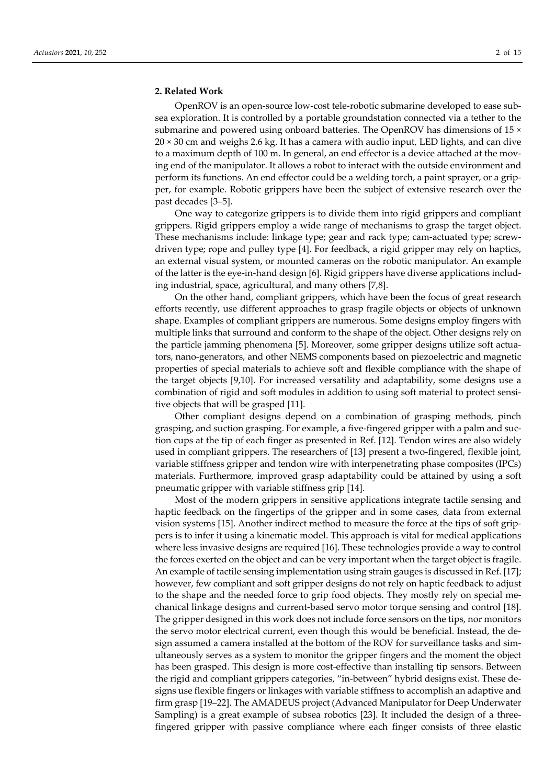#### **2. Related Work**

OpenROV is an open-source low-cost tele-robotic submarine developed to ease subsea exploration. It is controlled by a portable groundstation connected via a tether to the submarine and powered using onboard batteries. The OpenROV has dimensions of 15  $\times$ 20 × 30 cm and weighs 2.6 kg. It has a camera with audio input, LED lights, and can dive to a maximum depth of 100 m. In general, an end effector is a device attached at the moving end of the manipulator. It allows a robot to interact with the outside environment and perform its functions. An end effector could be a welding torch, a paint sprayer, or a gripper, for example. Robotic grippers have been the subject of extensive research over the past decades [3–5].

One way to categorize grippers is to divide them into rigid grippers and compliant grippers. Rigid grippers employ a wide range of mechanisms to grasp the target object. These mechanisms include: linkage type; gear and rack type; cam-actuated type; screwdriven type; rope and pulley type [4]. For feedback, a rigid gripper may rely on haptics, an external visual system, or mounted cameras on the robotic manipulator. An example of the latter is the eye-in-hand design [6]. Rigid grippers have diverse applications including industrial, space, agricultural, and many others [7,8].

On the other hand, compliant grippers, which have been the focus of great research efforts recently, use different approaches to grasp fragile objects or objects of unknown shape. Examples of compliant grippers are numerous. Some designs employ fingers with multiple links that surround and conform to the shape of the object. Other designs rely on the particle jamming phenomena [5]. Moreover, some gripper designs utilize soft actuators, nano-generators, and other NEMS components based on piezoelectric and magnetic properties of special materials to achieve soft and flexible compliance with the shape of the target objects [9,10]. For increased versatility and adaptability, some designs use a combination of rigid and soft modules in addition to using soft material to protect sensitive objects that will be grasped [11].

Other compliant designs depend on a combination of grasping methods, pinch grasping, and suction grasping. For example, a five-fingered gripper with a palm and suction cups at the tip of each finger as presented in Ref. [12]. Tendon wires are also widely used in compliant grippers. The researchers of [13] present a two-fingered, flexible joint, variable stiffness gripper and tendon wire with interpenetrating phase composites (IPCs) materials. Furthermore, improved grasp adaptability could be attained by using a soft pneumatic gripper with variable stiffness grip [14].

Most of the modern grippers in sensitive applications integrate tactile sensing and haptic feedback on the fingertips of the gripper and in some cases, data from external vision systems [15]. Another indirect method to measure the force at the tips of soft grippers is to infer it using a kinematic model. This approach is vital for medical applications where less invasive designs are required [16]. These technologies provide a way to control the forces exerted on the object and can be very important when the target object is fragile. An example of tactile sensing implementation using strain gauges is discussed in Ref. [17]; however, few compliant and soft gripper designs do not rely on haptic feedback to adjust to the shape and the needed force to grip food objects. They mostly rely on special mechanical linkage designs and current-based servo motor torque sensing and control [18]. The gripper designed in this work does not include force sensors on the tips, nor monitors the servo motor electrical current, even though this would be beneficial. Instead, the design assumed a camera installed at the bottom of the ROV for surveillance tasks and simultaneously serves as a system to monitor the gripper fingers and the moment the object has been grasped. This design is more cost-effective than installing tip sensors. Between the rigid and compliant grippers categories, "in-between" hybrid designs exist. These designs use flexible fingers or linkages with variable stiffness to accomplish an adaptive and firm grasp [19–22]. The AMADEUS project (Advanced Manipulator for Deep Underwater Sampling) is a great example of subsea robotics [23]. It included the design of a threefingered gripper with passive compliance where each finger consists of three elastic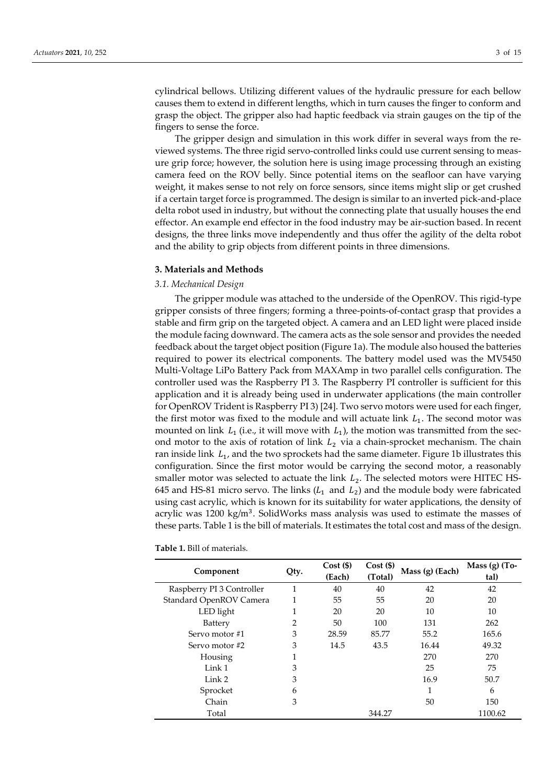cylindrical bellows. Utilizing different values of the hydraulic pressure for each bellow causes them to extend in different lengths, which in turn causes the finger to conform and grasp the object. The gripper also had haptic feedback via strain gauges on the tip of the fingers to sense the force.

The gripper design and simulation in this work differ in several ways from the reviewed systems. The three rigid servo-controlled links could use current sensing to measure grip force; however, the solution here is using image processing through an existing camera feed on the ROV belly. Since potential items on the seafloor can have varying weight, it makes sense to not rely on force sensors, since items might slip or get crushed if a certain target force is programmed. The design is similar to an inverted pick-and-place delta robot used in industry, but without the connecting plate that usually houses the end effector. An example end effector in the food industry may be air-suction based. In recent designs, the three links move independently and thus offer the agility of the delta robot and the ability to grip objects from different points in three dimensions.

## **3. Materials and Methods**

## *3.1. Mechanical Design*

The gripper module was attached to the underside of the OpenROV. This rigid-type gripper consists of three fingers; forming a three-points-of-contact grasp that provides a stable and firm grip on the targeted object. A camera and an LED light were placed inside the module facing downward. The camera acts as the sole sensor and provides the needed feedback about the target object position (Figure 1a). The module also housed the batteries required to power its electrical components. The battery model used was the MV5450 Multi-Voltage LiPo Battery Pack from MAXAmp in two parallel cells configuration. The controller used was the Raspberry PI 3. The Raspberry PI controller is sufficient for this application and it is already being used in underwater applications (the main controller for OpenROV Trident is Raspberry PI 3) [24]. Two servo motors were used for each finger, the first motor was fixed to the module and will actuate link  $L_1$ . The second motor was mounted on link  $L_1$  (i.e., it will move with  $L_1$ ), the motion was transmitted from the second motor to the axis of rotation of link  $L_2$  via a chain-sprocket mechanism. The chain ran inside link  $L_1$ , and the two sprockets had the same diameter. Figure 1b illustrates this configuration. Since the first motor would be carrying the second motor, a reasonably smaller motor was selected to actuate the link  $L_2$ . The selected motors were HITEC HS-645 and HS-81 micro servo. The links  $(L_1 \text{ and } L_2)$  and the module body were fabricated using cast acrylic, which is known for its suitability for water applications, the density of acrylic was 1200 kg/m<sup>3</sup>. SolidWorks mass analysis was used to estimate the masses of these parts. Table 1 is the bill of materials. It estimates the total cost and mass of the design.

| Component                 | Qty. | Cost(S) | $Cost($ \$) | Mass (g) (Each) | Mass $(g)$ (To- |
|---------------------------|------|---------|-------------|-----------------|-----------------|
|                           |      | (Each)  | (Total)     |                 | tal)            |
| Raspberry PI 3 Controller | 1    | 40      | 40          | 42              | 42              |
| Standard OpenROV Camera   | 1    | 55      | 55          | 20              | 20              |
| LED light                 | 1    | 20      | 20          | 10              | 10              |
| Battery                   | 2    | 50      | 100         | 131             | 262             |
| Servo motor #1            | 3    | 28.59   | 85.77       | 55.2            | 165.6           |
| Servo motor #2            | 3    | 14.5    | 43.5        | 16.44           | 49.32           |
| Housing                   | 1    |         |             | 270             | 270             |
| Link 1                    | 3    |         |             | 25              | 75              |
| Link 2                    | 3    |         |             | 16.9            | 50.7            |
| Sprocket                  | 6    |         |             | 1               | 6               |
| Chain                     | 3    |         |             | 50              | 150             |
| Total                     |      |         | 344.27      |                 | 1100.62         |

**Table 1.** Bill of materials.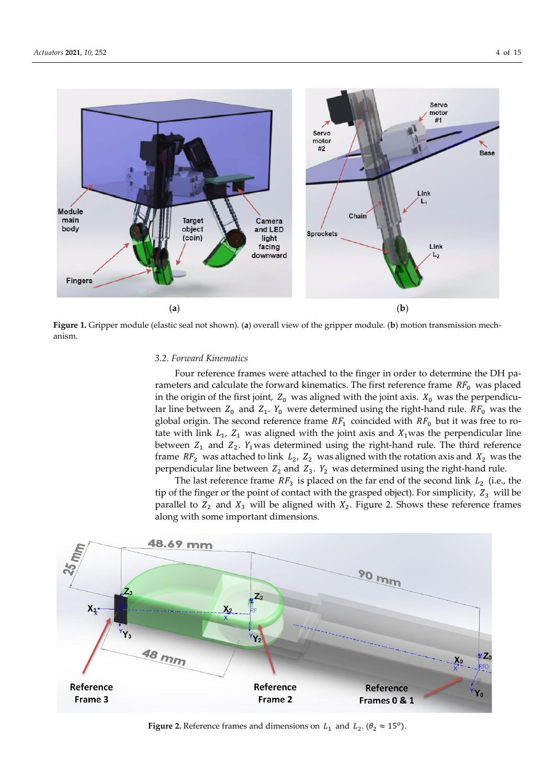

**Figure 1.** Gripper module (elastic seal not shown). (**a**) overall view of the gripper module. (**b**) motion transmission mechanism.

#### *3.2. Forward Kinematics*

Four reference frames were attached to the finger in order to determine the DH parameters and calculate the forward kinematics. The first reference frame  $RF_0$  was placed in the origin of the first joint,  $Z_0$  was aligned with the joint axis.  $X_0$  was the perpendicular line between  $Z_0$  and  $Z_1$ .  $Y_0$  were determined using the right-hand rule.  $RF_0$  was the global origin. The second reference frame  $RF_1$  coincided with  $RF_0$  but it was free to rotate with link  $L_1$ ,  $Z_1$  was aligned with the joint axis and  $X_1$ was the perpendicular line between  $Z_1$  and  $Z_2$ .  $Y_1$  was determined using the right-hand rule. The third reference frame  $RF_2$  was attached to link  $L_2$ ,  $Z_2$  was aligned with the rotation axis and  $X_2$  was the perpendicular line between  $Z_2$  and  $Z_3$ .  $Y_2$  was determined using the right-hand rule.

The last reference frame  $RF_3$  is placed on the far end of the second link  $L_2$  (i.e., the tip of the finger or the point of contact with the grasped object). For simplicity,  $Z_3$  will be parallel to  $Z_2$  and  $X_3$  will be aligned with  $X_2$ . Figure 2. Shows these reference frames along with some important dimensions.



**Figure 2.** Reference frames and dimensions on  $L_1$  and  $L_2$ . ( $\theta_2 \approx 15^{\circ}$ ).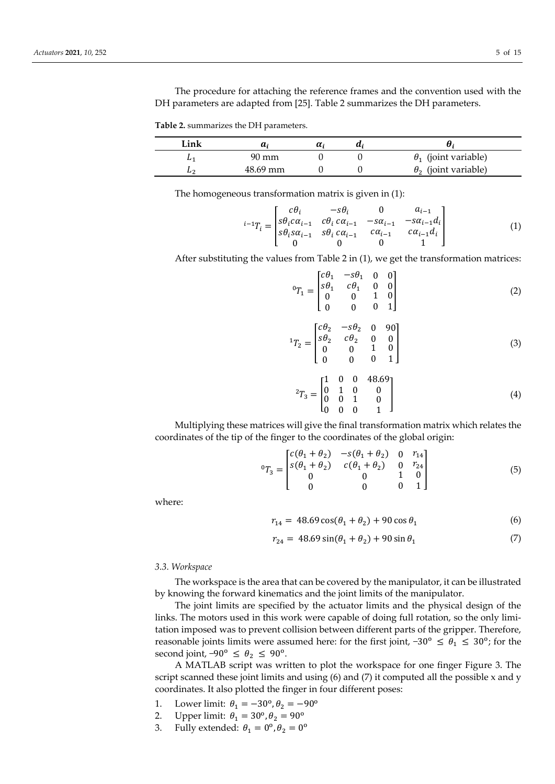The procedure for attaching the reference frames and the convention used with the DH parameters are adapted from [25]. Table 2 summarizes the DH parameters.

**Table 2.** summarizes the DH parameters.

| Link     | $\boldsymbol{u}$ | $\boldsymbol{\mu}$ |                             |
|----------|------------------|--------------------|-----------------------------|
| <b>L</b> | 90 mm            |                    | $\theta_1$ (joint variable) |
| ப∽       | 48.69 mm         |                    | $\theta_2$ (joint variable) |

The homogeneous transformation matrix is given in (1):

$$
{}^{i-1}T_i = \begin{bmatrix} c\theta_i & -s\theta_i & 0 & a_{i-1} \\ s\theta_i c\alpha_{i-1} & c\theta_i c\alpha_{i-1} & -s\alpha_{i-1} & -s\alpha_{i-1}d_i \\ s\theta_i s\alpha_{i-1} & s\theta_i c\alpha_{i-1} & c\alpha_{i-1} & c\alpha_{i-1}d_i \\ 0 & 0 & 0 & 1 \end{bmatrix}
$$
 (1)

After substituting the values from Table 2 in (1), we get the transformation matrices:

$$
{}^{0}T_{1} = \begin{bmatrix} c\theta_{1} & -s\theta_{1} & 0 & 0 \\ s\theta_{1} & c\theta_{1} & 0 & 0 \\ 0 & 0 & 1 & 0 \\ 0 & 0 & 0 & 1 \end{bmatrix}
$$
 (2)

$$
{}^{1}T_{2} = \begin{bmatrix} c\theta_{2} & -s\theta_{2} & 0 & 90\\ s\theta_{2} & c\theta_{2} & 0 & 0\\ 0 & 0 & 1 & 0\\ 0 & 0 & 0 & 1 \end{bmatrix}
$$
 (3)

$$
{}^{2}T_{3} = \begin{bmatrix} 1 & 0 & 0 & 48.69 \\ 0 & 1 & 0 & 0 \\ 0 & 0 & 1 & 0 \\ 0 & 0 & 0 & 1 \end{bmatrix}
$$
 (4)

Multiplying these matrices will give the final transformation matrix which relates the coordinates of the tip of the finger to the coordinates of the global origin:

$$
{}^{0}T_{3} = \begin{bmatrix} c(\theta_{1} + \theta_{2}) & -s(\theta_{1} + \theta_{2}) & 0 & r_{14} \\ s(\theta_{1} + \theta_{2}) & c(\theta_{1} + \theta_{2}) & 0 & r_{24} \\ 0 & 0 & 1 & 0 \\ 0 & 0 & 0 & 1 \end{bmatrix}
$$
(5)

where:

$$
r_{14} = 48.69 \cos(\theta_1 + \theta_2) + 90 \cos \theta_1 \tag{6}
$$

$$
r_{24} = 48.69 \sin(\theta_1 + \theta_2) + 90 \sin \theta_1 \tag{7}
$$

*3.3. Workspace*

The workspace is the area that can be covered by the manipulator, it can be illustrated by knowing the forward kinematics and the joint limits of the manipulator.

The joint limits are specified by the actuator limits and the physical design of the links. The motors used in this work were capable of doing full rotation, so the only limitation imposed was to prevent collision between different parts of the gripper. Therefore, reasonable joints limits were assumed here: for the first joint,  $-30^{\circ} \le \theta_1 \le 30^{\circ}$ ; for the second joint,  $-90^{\circ} \le \theta_2 \le 90^{\circ}$ .

A MATLAB script was written to plot the workspace for one finger Figure 3. The script scanned these joint limits and using  $(6)$  and  $(7)$  it computed all the possible x and y coordinates. It also plotted the finger in four different poses:

- 1. Lower limit:  $\theta_1 = -30^{\circ}, \theta_2 = -90^{\circ}$
- 2. Upper limit:  $\theta_1 = 30^{\circ}, \theta_2 = 90^{\circ}$
- 3. Fully extended:  $\theta_1 = 0^\text{o}, \theta_2 = 0^\text{o}$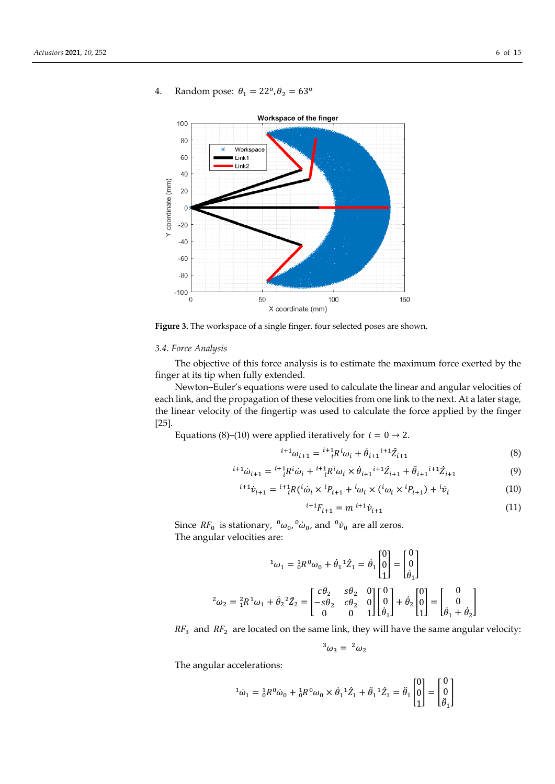

4. Random pose:  $\theta_1 = 22^{\circ}, \theta_2 = 63^{\circ}$ 

Figure 3. The workspace of a single finger. four selected poses are shown.

#### *3.4. Force Analysis*

The objective of this force analysis is to estimate the maximum force exerted by the finger at its tip when fully extended.

Newton–Euler's equations were used to calculate the linear and angular velocities of each link, and the propagation of these velocities from one link to the next. At a later stage, the linear velocity of the fingertip was used to calculate the force applied by the finger [25].

Equations (8)–(10) were applied iteratively for  $i = 0 \rightarrow 2$ .

$$
{}^{i+1}\omega_{i+1} = {}^{i+1}R^i\omega_i + \dot{\theta}_{i+1}{}^{i+1}\hat{Z}_{i+1}
$$
 (8)

$$
{}^{i+1}\dot{\omega}_{i+1} = {}^{i+1}{}_{i}R^{i}\dot{\omega}_{i} + {}^{i+1}{}_{i}R^{i}\omega_{i} \times \dot{\theta}_{i+1}{}^{i+1}\hat{Z}_{i+1} + \ddot{\theta}_{i+1}{}^{i+1}\hat{Z}_{i+1}
$$
(9)

$$
{}^{i+1}\dot{v}_{i+1} = {}^{i+1}{}_{i}R({}^{i}\dot{\omega}_{i} \times {}^{i}P_{i+1} + {}^{i}\omega_{i} \times ({}^{i}\omega_{i} \times {}^{i}P_{i+1}) + {}^{i}\dot{v}_{i}
$$
\n(10)

$$
{}^{i+1}F_{i+1} = m {}^{i+1} \dot{v}_{i+1} \tag{11}
$$

Since  $RF_0$  is stationary,  ${}^0\omega_0$ ,  ${}^0\dot{\omega}_0$ , and  ${}^0\dot{\nu}_0$  are all zeros. The angular velocities are:

$$
{}^{1}\omega_{1} = {}^{1}_{0}R^{0}\omega_{0} + \dot{\theta}_{1} {}^{1}\hat{Z}_{1} = \dot{\theta}_{1} \begin{bmatrix} 0 \\ 0 \\ 1 \end{bmatrix} = \begin{bmatrix} 0 \\ 0 \\ \dot{\theta}_{1} \end{bmatrix}
$$

$$
{}^{2}\omega_{2} = {}^{2}_{1}R^{1}\omega_{1} + \dot{\theta}_{2} {}^{2}\hat{Z}_{2} = \begin{bmatrix} c\theta_{2} & s\theta_{2} & 0 \\ -s\theta_{2} & c\theta_{2} & 0 \\ 0 & 0 & 1 \end{bmatrix} \begin{bmatrix} 0 \\ 0 \\ \dot{\theta}_{1} \end{bmatrix} + \dot{\theta}_{2} \begin{bmatrix} 0 \\ 0 \\ 1 \end{bmatrix} = \begin{bmatrix} 0 \\ 0 \\ \dot{\theta}_{1} + \dot{\theta}_{2} \end{bmatrix}
$$

 $RF_3$  and  $RF_2$  are located on the same link, they will have the same angular velocity:

$$
{}^3\omega_3 = {}^2\omega_2
$$

The angular accelerations:

$$
{}^{1}\dot{\omega}_{1} = {}^{1}_{0}R^{0}\dot{\omega}_{0} + {}^{1}_{0}R^{0}\omega_{0} \times \dot{\theta}_{1} {}^{1}\hat{Z}_{1} + \ddot{\theta}_{1} {}^{1}\hat{Z}_{1} = \ddot{\theta}_{1} \begin{bmatrix} 0 \\ 0 \\ 1 \end{bmatrix} = \begin{bmatrix} 0 \\ 0 \\ \ddot{\theta}_{1} \end{bmatrix}
$$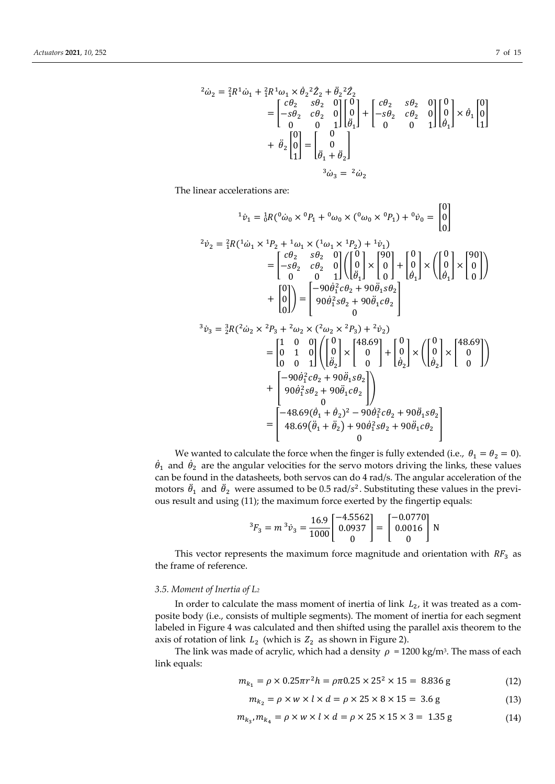$$
{}^{2}\dot{\omega}_{2} = {}^{2}_{1}R^{1}\dot{\omega}_{1} + {}^{2}_{1}R^{1}\omega_{1} \times \dot{\theta}_{2} {}^{2}\hat{Z}_{2} + \ddot{\theta}_{2} {}^{2}\hat{Z}_{2}
$$
\n
$$
= \begin{bmatrix} c\theta_{2} & s\theta_{2} & 0 \\ -s\theta_{2} & c\theta_{2} & 0 \\ 0 & 0 & 1 \end{bmatrix} \begin{bmatrix} 0 \\ 0 \\ \ddot{\theta}_{1} \end{bmatrix} + \begin{bmatrix} c\theta_{2} & s\theta_{2} & 0 \\ -s\theta_{2} & c\theta_{2} & 0 \\ 0 & 0 & 1 \end{bmatrix} \begin{bmatrix} 0 \\ 0 \\ \dot{\theta}_{1} \end{bmatrix} \times \dot{\theta}_{1} \begin{bmatrix} 0 \\ 0 \\ 1 \end{bmatrix}
$$
\n
$$
+ \ddot{\theta}_{2} \begin{bmatrix} 0 \\ 0 \\ 1 \end{bmatrix} = \begin{bmatrix} 0 \\ 0 \\ \ddot{\theta}_{1} + \ddot{\theta}_{2} \end{bmatrix}
$$
\n
$$
{}^{3}\dot{\omega}_{3} = {}^{2}\dot{\omega}_{2}
$$

The linear accelerations are:

$$
{}^{1}\dot{v}_{1} = {}^{1}_{0}R({}^{0}\dot{\omega}_{0} \times {}^{0}P_{1} + {}^{0}\omega_{0} \times ({}^{0}\omega_{0} \times {}^{0}P_{1}) + {}^{0}\dot{v}_{0} = \begin{bmatrix} 0 \\ 0 \\ 0 \end{bmatrix}
$$
  
\n
$$
{}^{2}\dot{v}_{2} = {}^{2}_{1}R({}^{1}\dot{\omega}_{1} \times {}^{1}P_{2} + {}^{1}\omega_{1} \times ({}^{1}\omega_{1} \times {}^{1}P_{2}) + {}^{1}\dot{v}_{1})
$$
  
\n
$$
= \begin{bmatrix} {}^{c}\theta_{2} & {}^{6}\theta_{2} & 0 \\ -s\theta_{2} & {}^{c}\theta_{2} & 0 \\ 0 & 0 & 1 \end{bmatrix} \begin{bmatrix} 0 \\ 0 \\ \ddot{\theta}_{1} \end{bmatrix} \times \begin{bmatrix} 90 \\ 0 \\ \dot{\theta}_{1} \end{bmatrix} \times \begin{bmatrix} 0 \\ 0 \\ \dot{\theta}_{1} \end{bmatrix} \times \begin{bmatrix} 90 \\ 0 \\ \dot{\theta}_{1} \end{bmatrix}
$$
  
\n
$$
+ \begin{bmatrix} 0 \\ 0 \\ 0 \end{bmatrix} = \begin{bmatrix} -90\dot{\theta}_{1}^{2}c\theta_{2} + 90\ddot{\theta}_{1}c\theta_{2} \\ 90\dot{\theta}_{1}^{2}s\theta_{2} + 90\ddot{\theta}_{1}c\theta_{2} \\ 0 \end{bmatrix}
$$
  
\n
$$
{}^{3}\dot{v}_{3} = {}^{3}_{2}R({}^{2}\dot{\omega}_{2} \times {}^{2}P_{3} + {}^{2}\omega_{2} \times ({}^{2}\omega_{2} \times {}^{2}P_{3}) + {}^{2}\dot{v}_{2})
$$
  
\n
$$
= \begin{bmatrix} 1 & 0 & 0 \\ 0 & 1 & 0 \\ 0 & 0 & 1 \end{bmatrix} \begin{bmatrix} 0 \\ 0 \\ \ddot{\theta}_{2} \end{bmatrix} \times \begin{bmatrix} 48.69 \\ 0 \\ \dot{\theta}_{2} \end{bmatrix} + \begin{bmatrix} 0 \\ 0 \\ \dot{\theta}_{2} \end{bmatrix} \times \begin{bmatrix} 0 \\ 0 \\ \dot{\theta}_{2} \end{bmatrix} \times \begin{bmatrix}
$$

We wanted to calculate the force when the finger is fully extended (i.e.,  $\theta_1 = \theta_2 = 0$ ).  $\dot{\theta}_1$  and  $\dot{\theta}_2$  are the angular velocities for the servo motors driving the links, these values can be found in the datasheets, both servos can do 4 rad/s. The angular acceleration of the motors  $\ddot{\theta}_1$  and  $\ddot{\theta}_2$  were assumed to be 0.5 rad/s<sup>2</sup>. Substituting these values in the previous result and using (11); the maximum force exerted by the fingertip equals:

$$
{}^{3}F_{3} = m {}^{3}\dot{v}_{3} = \frac{16.9}{1000} \begin{bmatrix} -4.5562 \\ 0.0937 \\ 0 \end{bmatrix} = \begin{bmatrix} -0.0770 \\ 0.0016 \\ 0 \end{bmatrix} \text{N}
$$

This vector represents the maximum force magnitude and orientation with  $RF_3$  as the frame of reference.

#### *3.5. Moment of Inertia of L<sup>2</sup>*

In order to calculate the mass moment of inertia of link  $L_2$ , it was treated as a composite body (i.e., consists of multiple segments). The moment of inertia for each segment labeled in Figure 4 was calculated and then shifted using the parallel axis theorem to the axis of rotation of link  $L_2$  (which is  $Z_2$  as shown in Figure 2).

The link was made of acrylic, which had a density  $\rho = 1200 \text{ kg/m}^3$ . The mass of each link equals:

$$
m_{k_1} = \rho \times 0.25 \pi r^2 h = \rho \pi 0.25 \times 25^2 \times 15 = 8.836 \text{ g}
$$
 (12)

$$
m_{k_2} = \rho \times w \times l \times d = \rho \times 25 \times 8 \times 15 = 3.6 \text{ g}
$$
 (13)

$$
m_{k_3}, m_{k_4} = \rho \times w \times l \times d = \rho \times 25 \times 15 \times 3 = 1.35 \text{ g}
$$
 (14)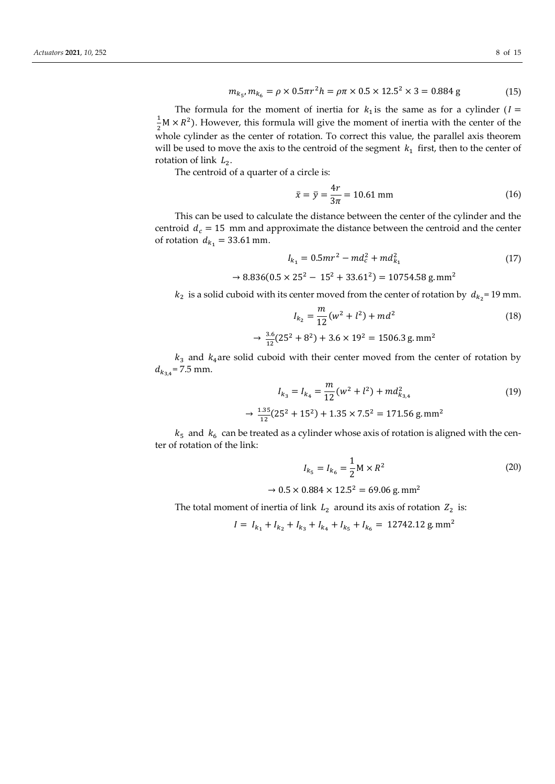$$
m_{k_5}, m_{k_6} = \rho \times 0.5\pi r^2 h = \rho \pi \times 0.5 \times 12.5^2 \times 3 = 0.884 \text{ g}
$$
 (15)

The formula for the moment of inertia for  $k_1$  is the same as for a cylinder ( $I =$ 1  $\frac{1}{2}$ M ×  $R^2$ ). However, this formula will give the moment of inertia with the center of the whole cylinder as the center of rotation. To correct this value, the parallel axis theorem will be used to move the axis to the centroid of the segment  $k_1$  first, then to the center of rotation of link  $L_2$ .

The centroid of a quarter of a circle is:

 $\rightarrow$ 

$$
\bar{x} = \bar{y} = \frac{4r}{3\pi} = 10.61 \text{ mm}
$$
 (16)

This can be used to calculate the distance between the center of the cylinder and the centroid  $d_c = 15$  mm and approximate the distance between the centroid and the center of rotation  $d_{k_1} = 33.61$  mm.

$$
I_{k_1} = 0.5mr^2 - md_c^2 + md_{k_1}^2
$$
 (17)

$$
\rightarrow 8.836(0.5 \times 25^2 - 15^2 + 33.61^2) = 10754.58 \text{ g.mm}^2
$$

 $k_2$  is a solid cuboid with its center moved from the center of rotation by  $d_{k_2}$ =19 mm.

$$
I_{k_2} = \frac{m}{12}(w^2 + l^2) + md^2
$$
 (18)

$$
\rightarrow \frac{3.6}{12}(25^2 + 8^2) + 3.6 \times 19^2 = 1506.3 \text{ g.mm}^2
$$

 $k_3$  and  $k_4$ are solid cuboid with their center moved from the center of rotation by  $d_{k_{3,4}}$ = 7.5 mm.

$$
I_{k_3} = I_{k_4} = \frac{m}{12} (w^2 + l^2) + md_{k_{3,4}}^2
$$
\n
$$
\frac{1.35}{12} (25^2 + 15^2) + 1.35 \times 7.5^2 = 171.56 \text{ g.mm}^2
$$
\n(19)

 $k_5$  and  $k_6$  can be treated as a cylinder whose axis of rotation is aligned with the center of rotation of the link:

$$
I_{k_5} = I_{k_6} = \frac{1}{2} M \times R^2
$$
 (20)

 $\rightarrow$  0.5  $\times$  0.884  $\times$  12.5<sup>2</sup> = 69.06 g. mm<sup>2</sup>

The total moment of inertia of link  $L_2$  around its axis of rotation  $Z_2$  is:

$$
I = I_{k_1} + I_{k_2} + I_{k_3} + I_{k_4} + I_{k_5} + I_{k_6} = 12742.12 \text{ g}.\text{mm}^2
$$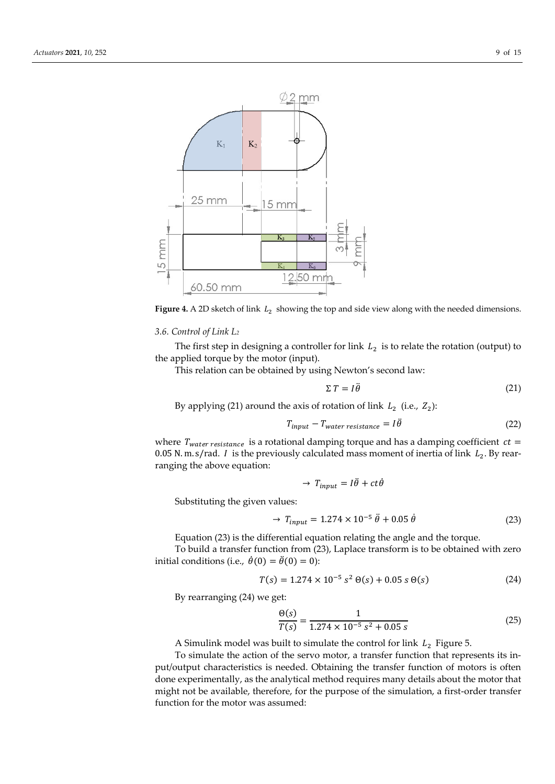

Figure 4. A 2D sketch of link  $L_2$  showing the top and side view along with the needed dimensions.

#### *3.6. Control of Link L<sup>2</sup>*

The first step in designing a controller for link  $L_2$  is to relate the rotation (output) to the applied torque by the motor (input).

This relation can be obtained by using Newton's second law:

$$
\Sigma T = I \ddot{\theta} \tag{21}
$$

By applying (21) around the axis of rotation of link  $L_2$  (i.e.,  $Z_2$ ):

$$
T_{input} - T_{water\ resistance} = I\ddot{\theta}
$$
 (22)

where  $T_{water resistance}$  is a rotational damping torque and has a damping coefficient  $ct =$ 0.05 N. m. s/rad. *I* is the previously calculated mass moment of inertia of link  $L_2$ . By rearranging the above equation:

$$
\rightarrow T_{input} = I\ddot{\theta} + ct\dot{\theta}
$$

Substituting the given values:

$$
\rightarrow T_{input} = 1.274 \times 10^{-5} \ddot{\theta} + 0.05 \dot{\theta} \tag{23}
$$

Equation (23) is the differential equation relating the angle and the torque.

To build a transfer function from (23), Laplace transform is to be obtained with zero initial conditions (i.e.,  $\dot{\theta}(0) = \ddot{\theta}(0) = 0$ ):

$$
T(s) = 1.274 \times 10^{-5} s^2 \Theta(s) + 0.05 s \Theta(s)
$$
 (24)

By rearranging (24) we get:

$$
\frac{\Theta(s)}{T(s)} = \frac{1}{1.274 \times 10^{-5} \text{ s}^2 + 0.05 \text{ s}}\tag{25}
$$

A Simulink model was built to simulate the control for link  $L_2$  Figure 5.

To simulate the action of the servo motor, a transfer function that represents its input/output characteristics is needed. Obtaining the transfer function of motors is often done experimentally, as the analytical method requires many details about the motor that might not be available, therefore, for the purpose of the simulation, a first-order transfer function for the motor was assumed: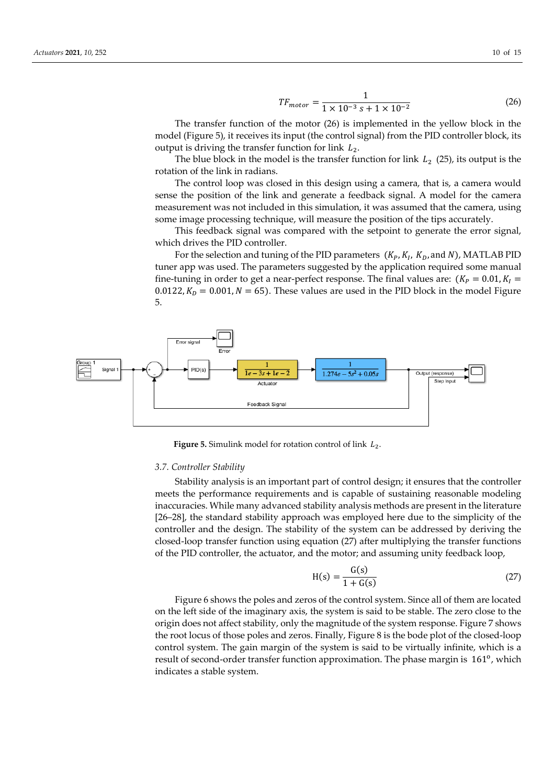$$
TF_{motor} = \frac{1}{1 \times 10^{-3} \text{ s} + 1 \times 10^{-2}}\tag{26}
$$

The transfer function of the motor (26) is implemented in the yellow block in the model (Figure 5), it receives its input (the control signal) from the PID controller block, its output is driving the transfer function for link  $L_2$ .

The blue block in the model is the transfer function for link  $L_2$  (25), its output is the rotation of the link in radians.

The control loop was closed in this design using a camera, that is, a camera would sense the position of the link and generate a feedback signal. A model for the camera measurement was not included in this simulation, it was assumed that the camera, using some image processing technique, will measure the position of the tips accurately.

This feedback signal was compared with the setpoint to generate the error signal, which drives the PID controller.

For the selection and tuning of the PID parameters  $(K_P, K_I, K_D, \text{and } N)$ , MATLAB PID tuner app was used. The parameters suggested by the application required some manual fine-tuning in order to get a near-perfect response. The final values are:  $(K_P = 0.01, K_I =$ 0.0122,  $K_p = 0.001$ ,  $N = 65$ ). These values are used in the PID block in the model Figure 5.



**Figure 5.** Simulink model for rotation control of link  $L_2$ .

#### *3.7. Controller Stability*

Stability analysis is an important part of control design; it ensures that the controller meets the performance requirements and is capable of sustaining reasonable modeling inaccuracies. While many advanced stability analysis methods are present in the literature [26–28], the standard stability approach was employed here due to the simplicity of the controller and the design. The stability of the system can be addressed by deriving the closed-loop transfer function using equation (27) after multiplying the transfer functions of the PID controller, the actuator, and the motor; and assuming unity feedback loop,

$$
H(s) = \frac{G(s)}{1 + G(s)}
$$
 (27)

Figure 6 shows the poles and zeros of the control system. Since all of them are located on the left side of the imaginary axis, the system is said to be stable. The zero close to the origin does not affect stability, only the magnitude of the system response. Figure 7 shows the root locus of those poles and zeros. Finally, Figure 8 is the bode plot of the closed-loop control system. The gain margin of the system is said to be virtually infinite, which is a result of second-order transfer function approximation. The phase margin is 161<sup>o</sup>, which indicates a stable system.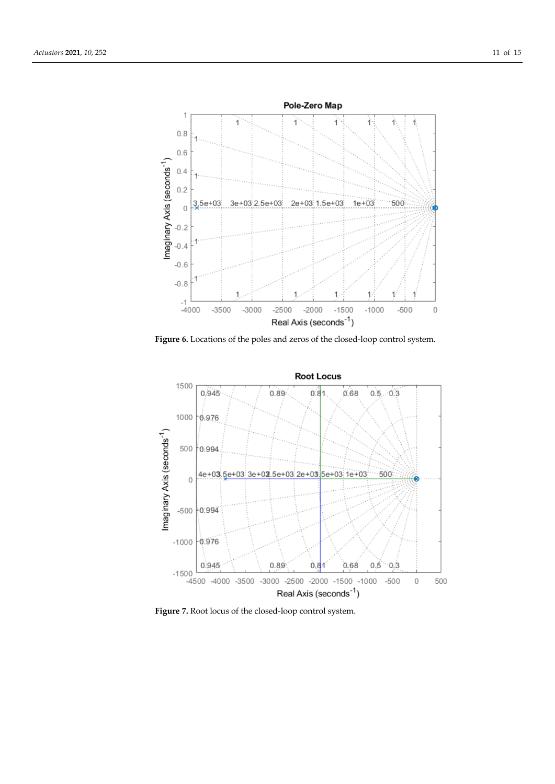

**Figure 6.** Locations of the poles and zeros of the closed-loop control system.



**Figure 7.** Root locus of the closed-loop control system.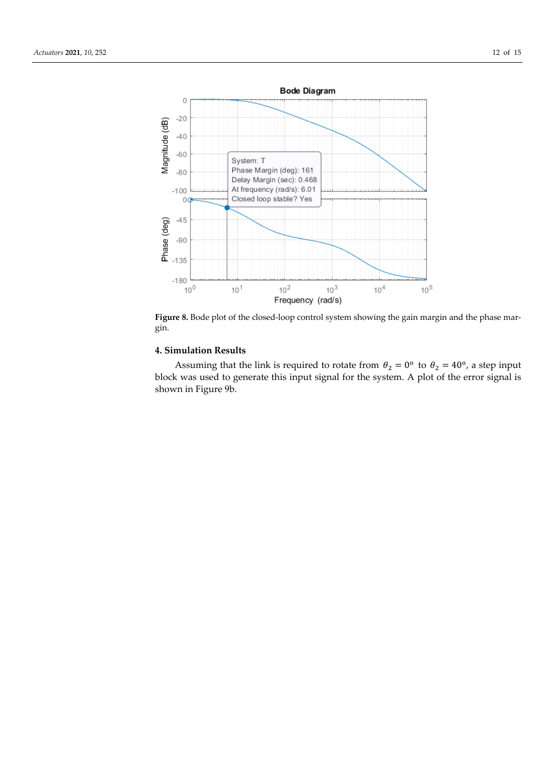

Figure 8. Bode plot of the closed-loop control system showing the gain margin and the phase margin.

## **4. Simulation Results**

Assuming that the link is required to rotate from  $\theta_2 = 0^{\circ}$  to  $\theta_2 = 40^{\circ}$ , a step input block was used to generate this input signal for the system. A plot of the error signal is shown in Figure 9b.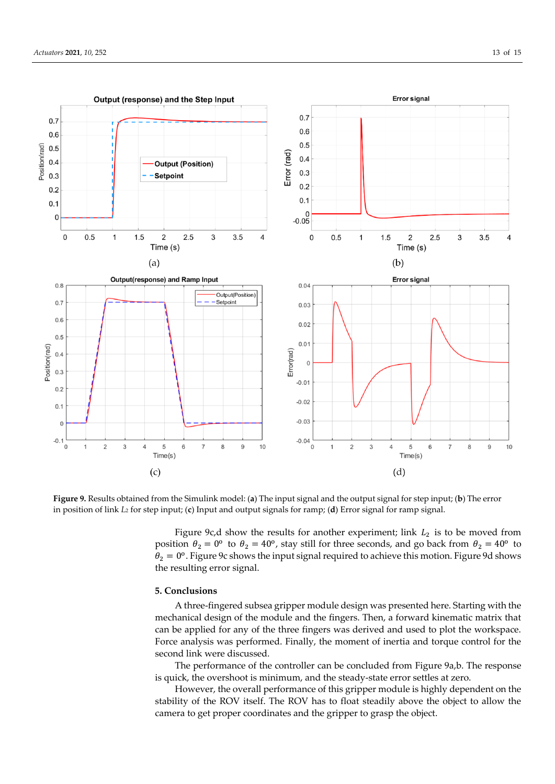

**Figure 9.** Results obtained from the Simulink model: (**a**) The input signal and the output signal for step input; (**b**) The error in position of link *L*<sup>2</sup> for step input; (**c**) Input and output signals for ramp; (**d**) Error signal for ramp signal.

Figure 9c,d show the results for another experiment; link  $L_2$  is to be moved from position  $\theta_2 = 0^{\circ}$  to  $\theta_2 = 40^{\circ}$ , stay still for three seconds, and go back from  $\theta_2 = 40^{\circ}$  to  $\theta_2 = 0^\circ$ . Figure 9c shows the input signal required to achieve this motion. Figure 9d shows the resulting error signal.

### **5. Conclusions**

A three-fingered subsea gripper module design was presented here. Starting with the mechanical design of the module and the fingers. Then, a forward kinematic matrix that can be applied for any of the three fingers was derived and used to plot the workspace. Force analysis was performed. Finally, the moment of inertia and torque control for the second link were discussed.

The performance of the controller can be concluded from Figure 9a,b. The response is quick, the overshoot is minimum, and the steady-state error settles at zero.

However, the overall performance of this gripper module is highly dependent on the stability of the ROV itself. The ROV has to float steadily above the object to allow the camera to get proper coordinates and the gripper to grasp the object.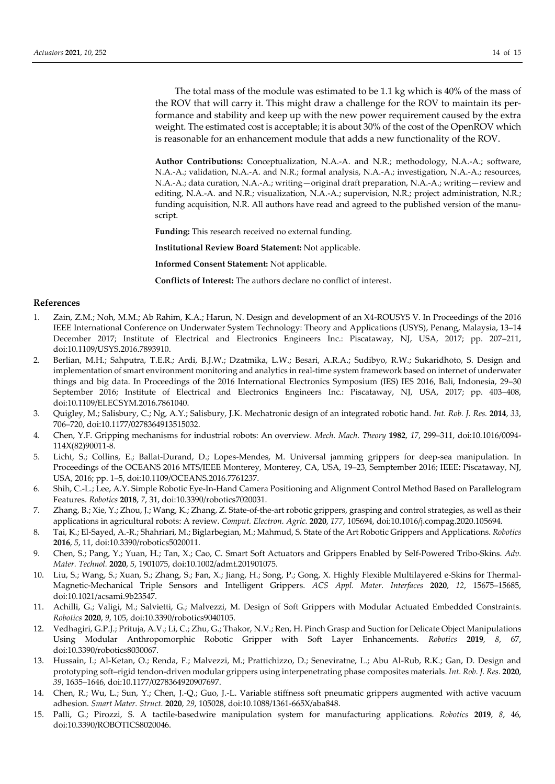The total mass of the module was estimated to be 1.1 kg which is 40% of the mass of the ROV that will carry it. This might draw a challenge for the ROV to maintain its performance and stability and keep up with the new power requirement caused by the extra weight. The estimated cost is acceptable; it is about 30% of the cost of the OpenROV which is reasonable for an enhancement module that adds a new functionality of the ROV.

**Author Contributions:** Conceptualization, N.A.-A. and N.R.; methodology, N.A.-A.; software, N.A.-A.; validation, N.A.-A. and N.R.; formal analysis, N.A.-A.; investigation, N.A.-A.; resources, N.A.-A.; data curation, N.A.-A.; writing—original draft preparation, N.A.-A.; writing—review and editing, N.A.-A. and N.R.; visualization, N.A.-A.; supervision, N.R.; project administration, N.R.; funding acquisition, N.R. All authors have read and agreed to the published version of the manuscript.

**Funding:** This research received no external funding.

**Institutional Review Board Statement:** Not applicable.

**Informed Consent Statement:** Not applicable.

**Conflicts of Interest:** The authors declare no conflict of interest.

#### **References**

- 1. Zain, Z.M.; Noh, M.M.; Ab Rahim, K.A.; Harun, N. Design and development of an X4-ROUSYS V. In Proceedings of the 2016 IEEE International Conference on Underwater System Technology: Theory and Applications (USYS), Penang, Malaysia, 13–14 December 2017; Institute of Electrical and Electronics Engineers Inc.: Piscataway, NJ, USA, 2017; pp. 207–211, doi:10.1109/USYS.2016.7893910.
- 2. Berlian, M.H.; Sahputra, T.E.R.; Ardi, B.J.W.; Dzatmika, L.W.; Besari, A.R.A.; Sudibyo, R.W.; Sukaridhoto, S. Design and implementation of smart environment monitoring and analytics in real-time system framework based on internet of underwater things and big data. In Proceedings of the 2016 International Electronics Symposium (IES) IES 2016, Bali, Indonesia, 29–30 September 2016; Institute of Electrical and Electronics Engineers Inc.: Piscataway, NJ, USA, 2017; pp. 403–408, doi:10.1109/ELECSYM.2016.7861040.
- 3. Quigley, M.; Salisbury, C.; Ng, A.Y.; Salisbury, J.K. Mechatronic design of an integrated robotic hand. *Int. Rob. J. Res.* **2014**, *33*, 706–720, doi:10.1177/0278364913515032.
- 4. Chen, Y.F. Gripping mechanisms for industrial robots: An overview. *Mech. Mach. Theory* **1982**, *17*, 299–311, doi:10.1016/0094- 114X(82)90011-8.
- 5. Licht, S.; Collins, E.; Ballat-Durand, D.; Lopes-Mendes, M. Universal jamming grippers for deep-sea manipulation. In Proceedings of the OCEANS 2016 MTS/IEEE Monterey, Monterey, CA, USA, 19–23, Semptember 2016; IEEE: Piscataway, NJ, USA, 2016; pp. 1–5, doi:10.1109/OCEANS.2016.7761237.
- 6. Shih, C.-L.; Lee, A.Y. Simple Robotic Eye-In-Hand Camera Positioning and Alignment Control Method Based on Parallelogram Features. *Robotics* **2018**, *7*, 31, doi:10.3390/robotics7020031.
- 7. Zhang, B.; Xie, Y.; Zhou, J.; Wang, K.; Zhang, Z. State-of-the-art robotic grippers, grasping and control strategies, as well as their applications in agricultural robots: A review. *Comput. Electron. Agric.* **2020**, *177*, 105694, doi:10.1016/j.compag.2020.105694.
- 8. Tai, K.; El-Sayed, A.-R.; Shahriari, M.; Biglarbegian, M.; Mahmud, S. State of the Art Robotic Grippers and Applications. *Robotics* **2016**, *5*, 11, doi:10.3390/robotics5020011.
- 9. Chen, S.; Pang, Y.; Yuan, H.; Tan, X.; Cao, C. Smart Soft Actuators and Grippers Enabled by Self-Powered Tribo-Skins. *Adv. Mater. Technol.* **2020**, *5*, 1901075, doi:10.1002/admt.201901075.
- 10. Liu, S.; Wang, S.; Xuan, S.; Zhang, S.; Fan, X.; Jiang, H.; Song, P.; Gong, X. Highly Flexible Multilayered e-Skins for Thermal-Magnetic-Mechanical Triple Sensors and Intelligent Grippers. *ACS Appl. Mater. Interfaces* **2020**, *12*, 15675–15685, doi:10.1021/acsami.9b23547.
- 11. Achilli, G.; Valigi, M.; Salvietti, G.; Malvezzi, M. Design of Soft Grippers with Modular Actuated Embedded Constraints. *Robotics* **2020**, *9*, 105, doi:10.3390/robotics9040105.
- 12. Vedhagiri, G.P.J.; Prituja, A.V.; Li, C.; Zhu, G.; Thakor, N.V.; Ren, H. Pinch Grasp and Suction for Delicate Object Manipulations Using Modular Anthropomorphic Robotic Gripper with Soft Layer Enhancements. *Robotics* **2019**, *8*, 67, doi:10.3390/robotics8030067.
- 13. Hussain, I.; Al-Ketan, O.; Renda, F.; Malvezzi, M.; Prattichizzo, D.; Seneviratne, L.; Abu Al-Rub, R.K.; Gan, D. Design and prototyping soft–rigid tendon-driven modular grippers using interpenetrating phase composites materials. *Int. Rob. J. Res.* **2020**, *39*, 1635–1646, doi:10.1177/0278364920907697.
- 14. Chen, R.; Wu, L.; Sun, Y.; Chen, J.-Q.; Guo, J.-L. Variable stiffness soft pneumatic grippers augmented with active vacuum adhesion*. Smart Mater. Struct.* **2020**, *29*, 105028, doi:10.1088/1361-665X/aba848.
- 15. Palli, G.; Pirozzi, S. A tactile-basedwire manipulation system for manufacturing applications. *Robotics* **2019**, *8*, 46, doi:10.3390/ROBOTICS8020046.